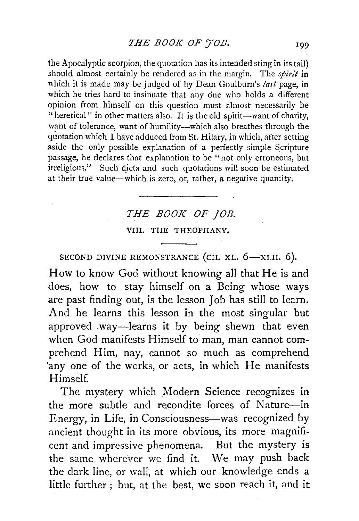the Apocalyptic scorpion, the quotation has its intended sting in its tail) should almost certainly be rendered as in the margin. The *spirit* in which it is made may be judged of by Dean Goulburn's *last* page, in which he tries hard to insinuate that any one who holds a different opinion from himself on this question must almost necessarily be "heretical" in other matters also. It is the old spirit-want of charity, want of tolerance, want of humility-which also breathes through the quotation which I have adduced from St. Hilary, in which, after setting aside the only possible explanation of a perfectly simple Scripture passage, he declares that explanation to be "not only erroneous, but irreligious." Such dicta and such quotations will soon be estimated at their true value-which is zero, or, rather, a negative quantity.

# *THE BOOK OF JOB.*  VIII. THE THEOPHANY.

SECOND DIVINE REMONSTRANCE (CH. XL. 6-XLII. 6).

How to know God without knowing all that He is and does, how to stay himself on a Being whose ways are past finding out, is the lesson Job has still to learn. And he learns this lesson in the most singular but approved way—learns it by being shewn that even when God manifests Himself to man, man cannot comprehend Him, nay, cannot so much as comprehend 'any one of the works, or acts, in which He manifests Himself.

The mystery which Modern Science recognizes in the more subtle and recondite forces of Nature-in Energy, in Life, in Consciousness-was recognized by ancient thought in its more obvious, its more magnificent and impressive phenomena. But the mystery is the same wherever we find it. We may push back the dark line, or wall, at which our knowledge ends a little further ; but, at the best, we soon reach it, and it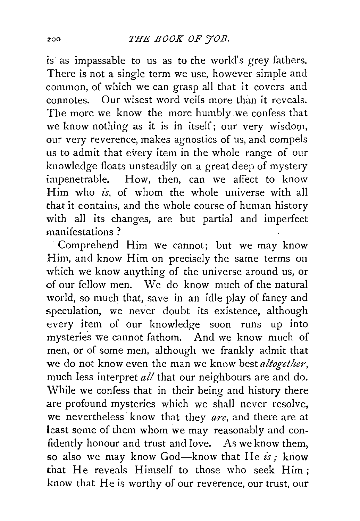is as impassable to us as to the world's grey fathers. There is not a single term we use, however simple and common, of which we can grasp all that it covers and connotes. Our wisest word veils more than it reveals. The more we know the more humbly we confess that we know nothing as it is in itself; our very wisdom, our very reverence, makes agnostics of us, and compels us to admit that every item in the whole range of our knowledge floats unsteadily on a great deep of mystery impenetrable. How, then, can we affect to know Him who *is,* of whom the whole universe with all that it contains, and the whole course of human history with all its changes, are but partial and imperfect manifestations ?

Comprehend Him we cannot; but we may know Him, and know Him on precisely the same terms on which we know anything of the universe around us, or of our fellow men. We do know much of the natural world, so much that, save in an idle play of fancy and speculation, we never doubt its existence, although every item of our knowledge soon runs up into mysteries we cannot fathom. And we know much of men, or of some men, although we frankly admit that we do not know even the man we know best *altogether*, much less interpret *all* that our neighbours are and do. While we confess that in their being and history there are profound mysteries which we shall never resolve, we nevertheless know that they *are,* and there are at least some of them whom we may reasonably and confidently honour and trust and love. As we know them, so also we may know God-know that He *is,·* know that He reveals Himself to those who seek Him; know that He is worthy of our reverence, our trust, our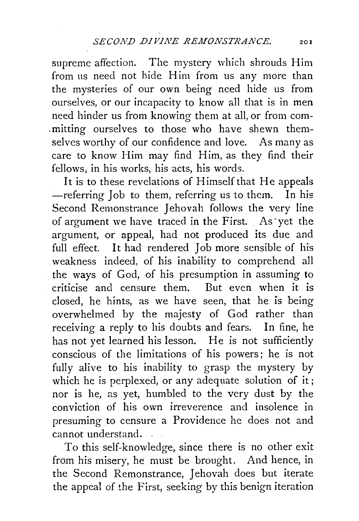supreme affection. The mystery which shrouds Him from us need not hide Him from us any more than the mysteries of our own being need hide us from ourselves, or our incapacity to know all that is in men need hinder us from knowing them at all, or from com- .mitting ourselves to those who have shewn themselves worthy of our confidence and love. As many as care to know Him may find Him, as they find their fellows, in his works, his acts, his words.

It is to these revelations of Himself that He appeals -referring Job to them, referring us to them. In his Second Remonstrance Jehovah follows the very line of argument we have traced in the First. As ·yet the argument, or appeal, had not produced its due and full effect. It had rendered Job more sensible of his weakness indeed, of his inability to comprehend all the ways of God, of his presumption in assuming to criticise and censure them. But even when it is closed, he hints, as we have seen, that he is being overwhelmed by the majesty of God rather than receiving a reply to his doubts and fears. In fine, he has not yet learned his lesson. He is not sufficiently conscious of the limitations of his powers; he is not fully alive to his inability to grasp the mystery by which he is perplexed, or any adequate solution of it; nor is he, as yet, humbled to the very dust by the conviction of his own irreverence and insolence in presuming to censure a Providence he does not and cannot understand. .

To this self-knowledge, since there is no other exit from his misery, he must be brought. And hence, in the Second Remonstrance, Jehovah does but iterate the appeal of the First, seeking by this benign iteration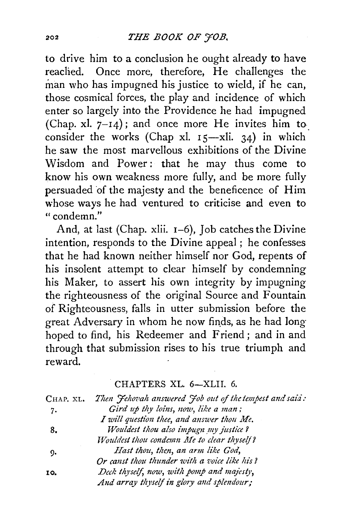to drive him to a conclusion he ought already to have Once more, therefore, He challenges the reaclied. man who has impugned his justice to wield, if he can, those cosmical forces, the play and incidence of which enter so largely into the Providence he had impugned (Chap. xl.  $7-14$ ); and once more He invites him to consider the works (Chap xl.  $15$ -xli. 34) in which he saw the most marvellous exhibitions of the Divine Wisdom and Power: that he may thus come to know his own weakness more fully, and be more fully persuaded of the majesty and the beneficence of Him whose ways he had ventured to criticise and even to  $"$  condemn."

And, at last (Chap. xlii. 1-6), Job catches the Divine intention, responds to the Divine appeal; he confesses that he had known neither himself nor God, repents of his insolent attempt to clear himself by condemning his Maker, to assert his own integrity by impugning the righteousness of the original Source and Fountain of Righteousness, falls in utter submission before the great Adversary in whom he now finds, as he had long hoped to find, his Redeemer and Friend; and in and through that submission rises to his true triumph and reward.

#### CHAPTERS XL. 6-XLII. 6.

| Chap. xl. | Then Fehovah answered Fob out of the tempest and said: |
|-----------|--------------------------------------------------------|
| 7.        | Gird up thy loins, now, like a man;                    |
|           | I will question thee, and answer thou Me.              |
| 8.        | Wouldest thou also impugn my justice?                  |
|           | Wouldest thou condemn Me to clear thyself?             |
| 9.        | Hast thou, then, an arm like God,                      |
|           | Or canst thou thunder with a voice like his?           |
| 10.       | Deck thyself, now, with pomp and majesty,              |
|           | And array thyself in glory and splendour;              |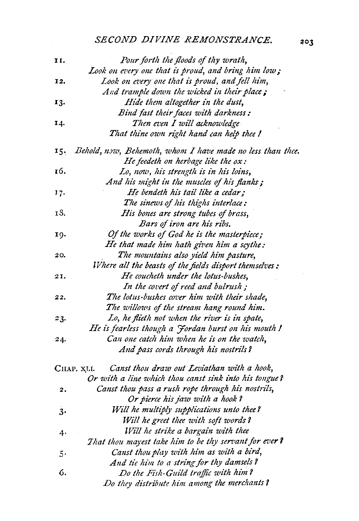## SECOND DIVINE REMONSTRANCE.

| 11,         | Pour forth the floods of thy wrath,                        |
|-------------|------------------------------------------------------------|
|             | Look on every one that is proud, and bring him low;        |
| 12.         | Look on every one that is proud, and fell him,             |
|             | And trample down the wicked in their place;                |
| 13.         | Hide them altogether in the dust,                          |
|             | Bind fast their faces with darkness:                       |
| 14.         | Then even I will acknowledge                               |
|             | That thine own right hand can help thee !                  |
| 15.         | Behold, now, Behemoth, whom I have made no less than thee. |
|             | He feedeth on herbage like the ox:                         |
| 16.         | Lo, now, his strength is in his loins,                     |
|             | And his might in the muscles of his flanks;                |
| 17.         | He bendeth his tail like a cedar;                          |
|             | The sinews of his thighs interlace:                        |
| 18.         | His bones are strong tubes of brass,                       |
|             | Bars of iron are his ribs.                                 |
| 19.         | Of the works of God he is the masterpiece;                 |
|             | He that made him hath given him a scythe:                  |
| 20.         | The mountains also yield him pasture,                      |
|             | Where all the beasts of the fields disport themselves:     |
| 21.         | He coucheth under the lotus-bushes,                        |
|             | In the covert of reed and bulrush;                         |
| 22.         | The lotus-bushes cover him with their shade,               |
|             | The willows of the stream hang round him.                  |
| 23.         | Lo, he flieth not when the river is in spate,              |
|             | He is fearless though a Fordan burst on his mouth !        |
| $24.^\circ$ | Can one catch him when he is on the watch,                 |
|             | And pass cords through his nostrils?                       |
|             | Canst thou draw out Leviathan with a hook,<br>CHAP. XLI.   |
|             | Or with a line which thou canst sink into his tongue?      |
| 2.          | Canst thou pass a rush rope through his nostrils,          |
|             | Or pierce his jaw with a hook?                             |
| 3.          | Will he multiply supplications unto thee?                  |
|             | Will he greet thee with soft words?                        |
| 4.          | Will he strike a bargain with thee                         |
|             | That thou mayest take him to be thy servant for ever?      |
| 5.          | Canst thou play with him as with a bird,                   |
|             | And tie him to a string for thy damsels?                   |
| 6.          | Do the Fish-Guild traffic with him?                        |
|             | Do they distribute him among the merchants?                |

 $203$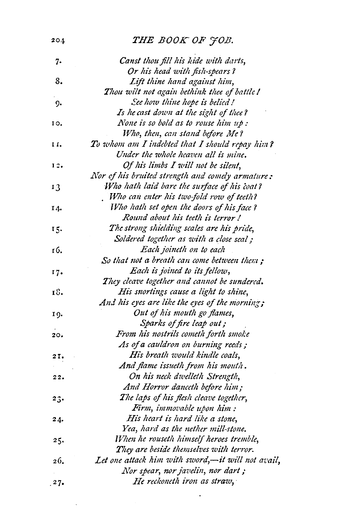| 204  | THE BOOK OF JOB.                                  |
|------|---------------------------------------------------|
| 7.   | Canst thou fill his kide with darts,              |
|      | Or his head with fish-spears?                     |
| 8.   | Lift thine hand against him,                      |
|      | Thou wilt not again bethink thee of battle !      |
| 9.   | See how thine hope is belied!                     |
|      | Is he cast down at the sight of thee?             |
| 10.  | None is so bold as to rouse him up:               |
|      | Who, then, can stand before Me?                   |
| 11.  | To whom am I indebted that I should repay him?    |
|      | Under the whole heaven all is mine.               |
| 12.  | Of his limbs I will not be silent,                |
|      | Nor of his bruited strength and comely armature:  |
| 13   | Who hath laid bare the surface of his coat?       |
|      | Who can enter his two-fold row of teeth?          |
| 14.  | Who hath set open the doors of his face?          |
|      | Round about his teeth is terror!                  |
| 15.  | The strong shielding scales are his pride,        |
|      | Soldered together as with a close scal;           |
| 16.  | Each joineth on to each                           |
|      | So that not a breath can come between them ;      |
| 17.  | Each is joined to its fellow,                     |
|      | They cleave together and cannot be sundered.      |
| 18.  | His snortings cause a light to shine,             |
|      | And his eyes are like the eyes of the morning;    |
| 19.  | Out of his mouth go flames,                       |
|      | Sparks of fire leap out;                          |
| 20.  | From his nostrils cometh forth smoke              |
|      | As of a cauldron on burning reeds;                |
| 2I.  | His breath would kindle coals,                    |
|      | And flame issueth from his mouth.                 |
| 22.  | On his neck dwelleth Strength,                    |
|      | And Horror danceth before him;                    |
| 23.  | The laps of his flesh cleave together,            |
|      | Firm, immovable upon him:                         |
| 24.  | His heart is hard like a stone,                   |
|      | Yea, hard as the nether mill-stone.               |
| 25.  | When he rouseth himself heroes tremble,           |
|      | They are beside themselves with terror.           |
| 26.  | Let one attack him with sword,-it will not avail, |
|      | Nor spear, nor javelin, nor dart;                 |
| .27. | He reckoneth iron as straw,                       |
|      |                                                   |

 $\bullet$  .

 $\label{eq:2.1} \frac{1}{\sqrt{2}}\sum_{i=1}^n\frac{1}{\sqrt{2}}\left(\frac{1}{\sqrt{2}}\sum_{i=1}^n\frac{1}{\sqrt{2}}\sum_{i=1}^n\frac{1}{\sqrt{2}}\sum_{i=1}^n\frac{1}{\sqrt{2}}\sum_{i=1}^n\frac{1}{\sqrt{2}}\sum_{i=1}^n\frac{1}{\sqrt{2}}\sum_{i=1}^n\frac{1}{\sqrt{2}}\sum_{i=1}^n\frac{1}{\sqrt{2}}\sum_{i=1}^n\frac{1}{\sqrt{2}}\sum_{i=1}^n\frac{1}{\sqrt{2$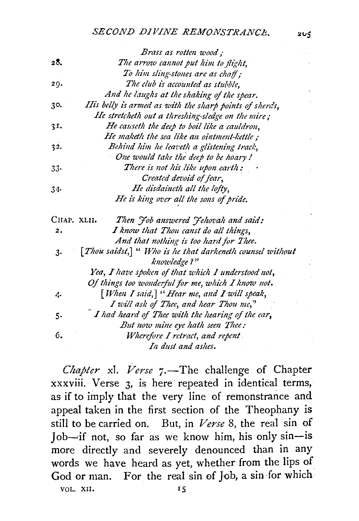## *SECOND DIVINE REMONSTRANCE.* 205

|             | Brass as rotten wood;                                                    |
|-------------|--------------------------------------------------------------------------|
| 28.         | The arrow cannot put him to flight,                                      |
|             | To him sling-stones are as chaff;                                        |
| 29.         | The club is accounted as stubble,                                        |
|             | And he laughs at the shaking of the spear.                               |
| 30.         | His belly is armed as with the sharp points of sherds,                   |
|             | He stretcheth out a threshing-sledge on the mire;                        |
| 31.         | He causeth the deep to boil like a cauldron,                             |
|             | He maketh the sea like an ointment-kettle;                               |
| 32.         | Behind him he leaveth a glistening track,                                |
|             | One would take the deep to be hoary!                                     |
| 33.         | There is not his like upon earth:                                        |
|             | Created devoid of fear,                                                  |
| 34.         | He disdaineth all the lofty,                                             |
|             | He is king over all the sons of pride.                                   |
| CHAP. XLII. | Then Job answered Jehovah and said:                                      |
| 2.          | I know that Thou canst do all things,                                    |
|             | And that nothing is too hard for Thee.                                   |
| $3 -$       | [Thou saidst,] " Who is he that darkeneth counsel without<br>knowledge?" |
|             | Yea, I have spoken of that which I understood not,                       |
|             | Of things too wonderful for me, which I know not.                        |
| 4.          | [When I said,] "Hear me, and I will speak,                               |
|             | I will ask of Thee, and hear Thou me,"                                   |
| 5.          | I had heard of Thee with the hearing of the ear,                         |
|             | But now mine eye hath seen Thee:                                         |
| 6.          | Wherefore I retract, and repent.                                         |
|             | In dust and ashes.                                                       |

*Chapter xl. Verse 7.*—The challenge of Chapter xxxviii. Verse 3, is here· repeated in identical terms, as if to imply that the very line of remonstrance and appeal taken in the first section of the Theophany is still to be carried on. But, in *Verse* 8, the real sin of  $\text{Job}$ —if not, so far as we know him, his only sin—is more directly and severely denounced than in any words we have heard as yet, whether from the lips of God or man. For the real sin of Job, a sin for which VOL. XII. IS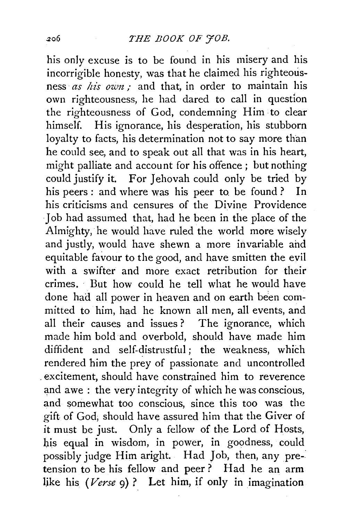his only excuse is to be found in his misery and his incorrigible honesty, was that he claimed his righteousness *as his own*; and that, in order to maintain his own righteousness, he had dared to call in question the righteousness of God, condemning Him to clear himself. His ignorance, his desperation, his stubborn loyalty to facts, his determination not to say more than he could see, and to speak out all that was in his heart, might palliate and account for his offence ; but nothing could justify it. For Jehovah could only be tried by his peers: and where was his peer to be found? In his criticisms and censures of the Divine Providence Job had assumed that, had he been in the place of the Almighty, he would have ruled the world more wisely and justly, would have shewn a more invariable ahd equitable favour to the good, and have smitten the evil with a swifter and more exact retribution for their crimes. But how could he tell what he would have done had all power in heaven and on earth been committed to him, had he known all men, all events, and all their causes and issues ? The ignorance, which made him bold and overbold, should have made him diffident and self-distrustful; the weakness, which rendered him the prey of passionate and uncontrolled . excitement, should have constrained him to reverence and awe : the very integrity of which he was conscious, and somewhat too conscious, since this too was the gift of God, should have assured him that the Giver of it must be just. Only a fellow of the Lord of Hosts, his equal in wisdom, in power, in goodness, could possibly judge Him aright. Had Job, then, any pre-· tension to be his fellow and peer? Had he an arm like his *(Verse 9)* ? Let him, if only in imagination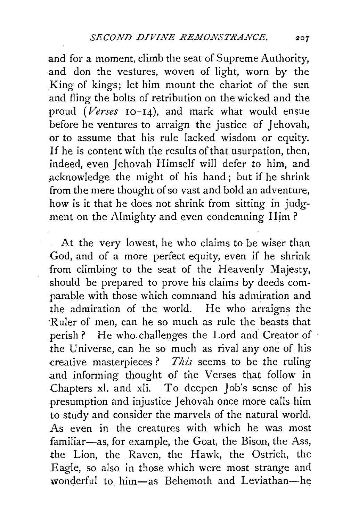and for a moment, climb the seat of Supreme Authority, and don the vestures, woven of light, worn by the King of kings; let him mount the chariot of the sun and fling the bolts of retribution on the wicked and the proud *(Verses* I0-14), and mark what would ensue before he ventures to arraign the justice of Jehovah, or to assume that his rule lacked wisdom or equity. If he is content with the results of that usurpation, then, indeed, even Jehovah Himself will defer to him, and acknowledge the might of his hand; but if he shrink from the mere thought of so vast and bold an adventure, how is it that he does not shrink from sitting in judgment on the Almighty and even condemning Him ?

At the very lowest, he who claims to be wiser than God, and of a more perfect equity, even if he shrink from climbing to the seat of the Heavenly Majesty, should be prepared to prove his claims by deeds comparable with those which command his admiration and the admiration of the world. He who arraigns the ·Ruler of men, can he so much as rule the beasts that perish? He who challenges the Lord and Creator of the Universe, can he so much as rival any one of his creative masterpieces? *This* seems to be the ruling .and informing thought of the Verses that follow in Chapters xl. and xli. To deepen Job's sense of his presumption and injustice Jehovah once more calls him . to study and consider the marvels of the natural world. As even in the creatures with which he was most familiar-as, for example, the Goat, the Bison, the Ass, the Lion, the Raven, the Hawk, the Ostrich, the Eagle, so also in those which were most strange and wonderful to him-as Behemoth and Leviathan-he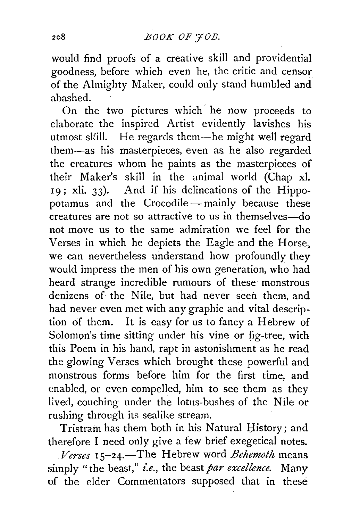would find proofs of a creative skill and providential goodness, before which even he, the critic and censor of the Almighty Maker, could only stand humbled and abashed.

On the two pictures which· he now proceeds to elaborate the inspired Artist evidently lavishes his utmost skill. He regards them-he might well regard them-as his masterpieces, even as he also regarded the creatures whom he paints as the masterpieces of their Maker's skill in the animal world (Chap xl. 19; xli. 33). And if his delineations of the Hippopotamus and the Crocodile-mainly because these creatures are not so attractive to us in themselves-do not move us to the same admiration we feel for the Verses in which he depicts the Eagle and the Horse, we can nevertheless understand how profoundly they would impress the men of his own generation, who had heard strange incredible rumours of these monstrous denizens of the Nile, but had never seen them, and had never even met with any graphic and vital description of them. It is easy for us to fancy a Hebrew of Solomon's time sitting under his vine or fig-tree, with this Poem in his hand, rapt in astonishment as he read the glowing Verses which brought these powerful and monstrous forms before him for the first time, and enabled, or even compelled, him to see them as they lived, couching under the lotus-bushes of the Nile or rushing through its sealike stream.

Tristram has them both in his Natural History; and therefore I need only give a few brief exegetical notes.

*Verses* I 5-24.-The Hebrew word *Behemoth* means simply "the beast," *i.e.*, the beast *par excellence*. Many of the elder Commentators supposed that in these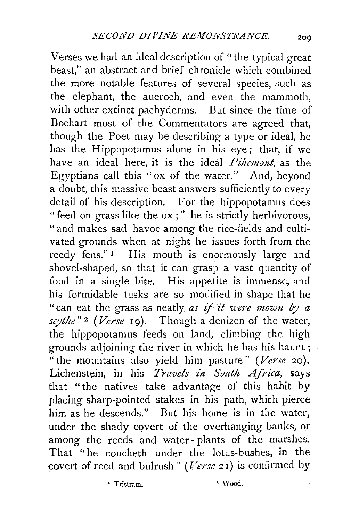Verses we had an ideal description of "the typical great beast," an abstract and brief chronicle which combined the more notable features of several species, such as the elephant, the aueroch, and even the mammoth, with other extinct pachyderms. But since the time of Bochart most of the Commentators are agreed that, though the Poet may be describing a type or ideal, he has the Hippopotamus alone in his eye; that, if we have an ideal here, it is the ideal *Pihemont*, as the Egyptians call this "ox of the water." And, beyond a doubt, this massive beast answers sufficiently to every detail of his description. For the hippopotamus does "feed on grass like the ox ; " he is strictly herbivorous, "and makes sad havoc among the rice-fields and cultivated grounds when at night he issues forth from the reedy fens."<sup>1</sup> His mouth is enormously large and shovel-shaped, so that it can grasp a vast quantity of food in a single bite. His appetite is immense, and his formidable tusks are so modified in shape that he " can eat the grass as neatly *as if it were mown by a scythe"* 2 *(Verse* 19). Though a denizen of the water, the hippopotamus feeds on land, climbing the high grounds adjoining the river in which he has his haunt; "the mountains also yield him pasture" *(Verse* 20). Lichenstein, in his *Travels in South Africa*, says that "the natives take advantage of this habit by placing sharp-pointed stakes in his path, which pierce him as he descends." But his home is in the water, under the shady covert of the overhanging banks, or among the reeds and water - plants of the marshes. That "he coucheth under the lotus-bushes, in the covert of reed and bulrush" *(Verse 2* I) is confirmed by

\* Tristram. • Wood.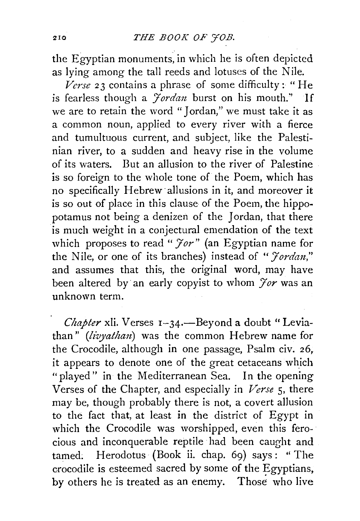the Egyptian monuments, in which he is often depicted as lying among the tall reeds and lotuses of the Nile.

*Verse* 23 contains a phrase of some difficulty: "He is fearless though a *Jordan* burst on his mouth." If we are to retain the word "Jordan," we must take it as a common noun, applied to every river with a fierce and tumultuous current, and subject, like the Palestinian river, to a sudden and heavy rise in the volume of its waters. But an allusion to the river of Palestine is so foreign to the whole tone of the Poem, which has no specifically Hebrew· allusions in it, and moreover it is so out of place in this clause of the Poem, the hippopotamus not being a denizen of the Jordan, that there is much weight in a conjectural emendation of the text which proposes to read "  $\mathcal{F}or$ " (an Egyptian name for the Nile, or one of its branches) instead of "*Jordan*," and assumes that this, the original word, may have been altered by an early copyist to whom *Jor* was an unknown term.

*Chapter xli.* Verses 1-34.—Beyond a doubt "Leviathan" *(livyathan)* was the common Hebrew name for the Crocodile, although in one passage, Psalm civ. 26, it appears to denote one of the great cetaceans which "played" in the Mediterranean Sea. In the opening Verses of the Chapter, and especially in *Verse* 5, there may be, though probably there is not, a covert allusion to the fact that, at least in the district of Egypt in which the Crocodile was worshipped, even this ferocious and inconquerable reptile had been caught and tamed; Herodotus (Book ii. chap. 69) says: ''The crocodile is esteemed sacred by some of the Egyptians, by others he is treated as an enemy. Those who live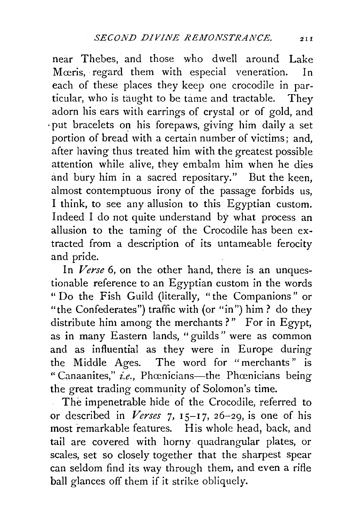near Thebes, and those who dwell around Lake Mceris, regard them with especial veneration. In each of these places they keep one crocodile in particular, who is taught to be tame and tractable. They adorn his ears with earrings of crystal or of gold, and ·put bracelets on his forepaws, giving him daily a set portion of bread with a certain number of victims: and, after having thus treated him with the greatest possible attention while alive, they embalm him when he dies and bury him in a sacred repositary." But the keen, almost contemptuous irony of the passage forbids us, I think, to see any allusion to this Egyptian custom. Indeed I do not quite understand by what process an allusion to the taming of the Crocodile has been extracted from a description of its untameable ferocity and pride.

In *Verse* 6, on the other hand, there is an unquestionable reference to an Egyptian custom in the words " Do the Fish Guild (literally, "the Companions" or "the Confederates") traffic with (or "in") him? do they distribute him among the merchants?" For in Egypt, as in many Eastern lands, "guilds" were as common and as influential as they were in Europe during the Middle Ages. The word for "merchants" is " Canaanites," *i.e.*, Phœnicians—the Phœnicians being the great trading community of Solomon's time.

The impenetrable hide of the Crocodile, referred to  $\mathbb{R}^{\mathbb{Z}^2}$ or described in *Verses* 7, 15-17, 26-29, is one of his most remarkable features. His whole head, back, and tail are covered with horny quadrangular plates, or scales, set so closely together that the sharpest spear can seldom find its way through them, and even a rifle ball glances off them if it strike obliquely.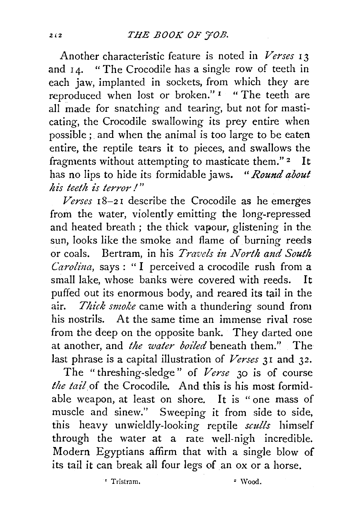Another characteristic feature is noted in *Verses* 13 and  $I_4$ . " The Crocodile has a single row of teeth in each jaw, implanted in sockets, from which they are reproduced when lost or broken."<sup>1</sup> "The teeth are all made for snatching and tearing, but not for masticating, the Crocodile swallowing its prey entire when possible;. and when the animal is too large to be eaten entire, the reptile tears it to pieces, and swallows the fragments without attempting to masticate them." 2 It has no lips to hide its formidable jaws. *"Round about his teeth is terror I"* 

*Verses* I 8-2 I describe the Crocodile as he emerges from the water, violently emitting the long-repressed and heated breath ; the thick vapour, glistening in the sun, looks like the smoke and flame of burning reeds or coals. Bertram, in his *Travels in North and South Carolina*, says : "I perceived a crocodile rush from a small lake, whose banks were covered with reeds. It puffed out its enormous body, and reared its tail in the air. *Thick smoke* came with a thundering sound from his nostrils. At the same time an immense rival rose from the deep on the opposite bank. They darted one at another, and *the water boiled* beneath them." The last phrase is a capital illustration of *Verses* 3I and 32.

The " threshing-sledge" of *Verse* 30 is of course the tail of the Crocodile. And this is his most formidable weapon, at least on shore. It is "one mass of muscle and sinew." Sweeping it from side to side, this heavy unwieldly-looking reptile *sculls* himself through the water at a rate well-nigh incredible. Modern Egyptians affirm that with a single blow of its tail it can break all four legs of an ox or a horse.

' Tristram. " Wood.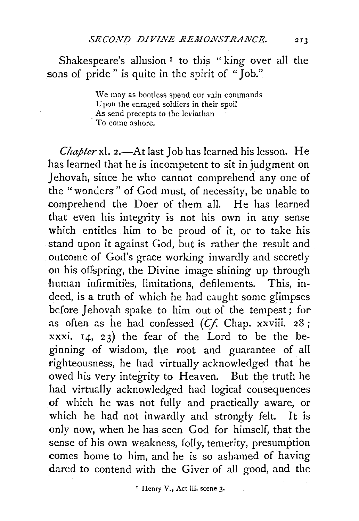Shakespeare's allusion<sup>1</sup> to this "king over all the sons of pride" is quite in the spirit of "Job."

> \Ve may as bootless spend our vain commands Upon the enraged soldiers in their spoil As send precepts to the leviathan To come ashore.

Chapter xl. 2.-At last Job has learned his lesson. He has learned that he is incompetent to sit in judgment on Jehovah, since he who cannot comprehend any one of the "wonders " of God must, of necessity, be unable to comprehend the *Doer* of them all. He has learned that even his integrity is not his own in any sense which entitles him to be proud of it, or to take his stand upon it against God, but is rather the result and outcome of God's grace working inwardly and secretly on his offspring, the Divine image shining up through human infirmities, limitations, defilements. This, indeed, is a truth of which he had caught some glimpses before Jehovah spake to him out of the tempest; for as often as he had confessed *(Cf.* Chap. xxviii. 28 ; xxxi. 14, 23) the fear of the Lord to be the beginning of wisdom, the root and guarantee of all righteousness, he had virtually acknowledged that he owed his very integrity to Heaven. But the truth he had virtually acknowledged had logical consequences of which he was not fully and practically aware, or which he had not inwardly and strongly felt. It is only now, when he has seen God for himself, that the sense of his own weakness, folly, temerity, presumption comes home to him, and he is so ashamed of having dared to contend with the Giver of all good, and the

• IIcnry V., Act iii. scene 3·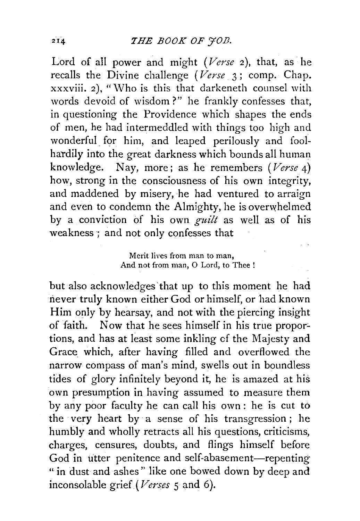Lord of all power and might *(Verse* 2), that, as he recalls the Divine challenge *(Verse* 3; comp. Chap. xxxviii. 2), "Who is this that darkeneth counsel with words devoid of wisdom?" he frankly confesses that, in questioning the Providence which shapes the ends of men, he had intermeddled with things too high and wonderful for him, and leaped perilously and foolhardily into the great darkness which bounds all human knowledge. Nay, more ; as he remembers *(Verse* 4) how, strong in the consciousness of his own integrity, and maddened by misery, he had ventured to arraign and even to condemn the Almighty, he is overwhelmed by a conviction of his own *guilt* as well as of his weakness ; and not only confesses that

#### Merit lives from man to man, And not from man, 0 Lord, to Thee !

but also acknowledges 'that up to this moment he had never truly known either God or himself, or had known Him only by hearsay, and not with the piercing insight of faith. Now that he sees himself in his true propor:. tions, and has at least some inkling cf the Majesty and Grace which, after having filled and overflowed the narrow compass of man's mind, swells out in boundless tides of glory infinitely beyond it, he is amazed at his own presumption in having assumed to measure them by any poor faculty he can call his own : he is cut to the ·very heart by a sense of his transgression ; he humbly and wholly retracts all his questions, criticisms, charges, censures, doubts, and flings himself before God in utter penitence and self-abasement-repenting " in dust and ashes" like one bowed down by deep and inconsolable grief (*Verses* 5 and 6).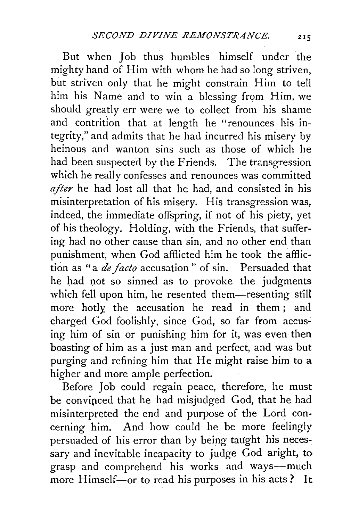But when Job thus humbles himself under the mighty hand of Him with whom he had so long striven, but striven only that he might constrain Him to tell him his Name and to win a blessing from Him, we should greatly err were we to collect from his shame and contrition that at length he "renounces his integrity," and admits that he had incurred his misery by heinous and wanton sins such as those of which he had been suspected by the Friends. The transgression which he really confesses and renounces was committed *after* he had lost all that he had, and consisted in his misinterpretation of his misery. His transgression was, indeed, the immediate offspring, if not of his piety, yet of his theology. Holding, with the Friends, that suffering had no other cause than sin, and no other end than punishment, when God afflicted him he took the affliction as "a *de facto* accusation " of sin. Persuaded that he had not so sinned as to provoke the judgments which fell upon him, he resented them-resenting still more hotly, the accusation he read in them; and charged God foolishly, since God, so far from accusing him of sin or punishing him for it, was even then boasting of him as a just man and perfect, and was but purging and refining him that He might raise him to a higher and more ample perfection.

Before Job could regain peace, therefore, he must be convipced that he had misjudged God, that he had misinterpreted the end and purpose of the Lord concerning him. And how could he be more feelingly persuaded of his error than by being taught his necessary and inevitable incapacity to judge  $\bar{G}$ od aright, to grasp and comprehend his works and ways-much more Himself-or to read his purposes in his acts? It